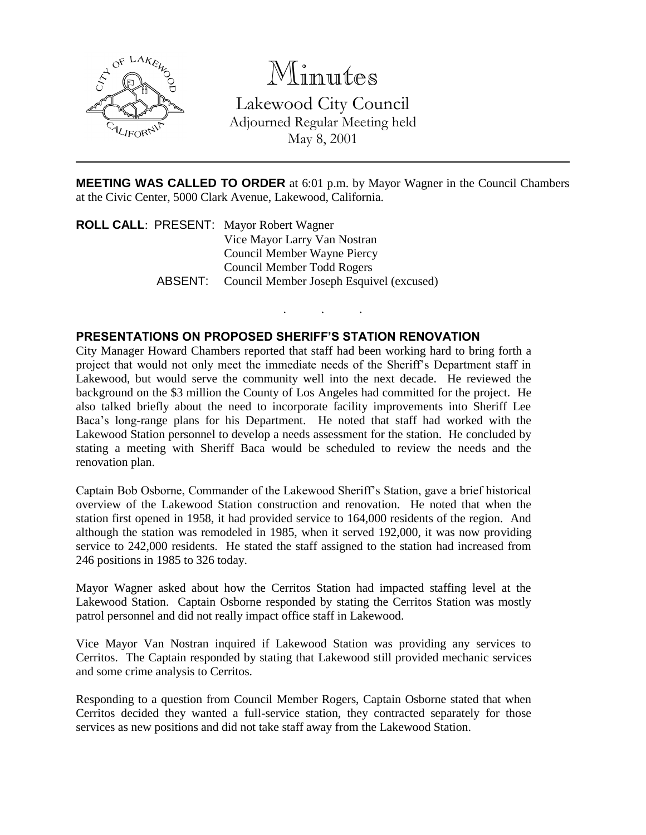

Minutes

Lakewood City Council Adjourned Regular Meeting held May 8, 2001

**MEETING WAS CALLED TO ORDER** at 6:01 p.m. by Mayor Wagner in the Council Chambers at the Civic Center, 5000 Clark Avenue, Lakewood, California.

. . .

**ROLL CALL**: PRESENT: Mayor Robert Wagner Vice Mayor Larry Van Nostran Council Member Wayne Piercy Council Member Todd Rogers ABSENT: Council Member Joseph Esquivel (excused)

## **PRESENTATIONS ON PROPOSED SHERIFF'S STATION RENOVATION**

City Manager Howard Chambers reported that staff had been working hard to bring forth a project that would not only meet the immediate needs of the Sheriff's Department staff in Lakewood, but would serve the community well into the next decade. He reviewed the background on the \$3 million the County of Los Angeles had committed for the project. He also talked briefly about the need to incorporate facility improvements into Sheriff Lee Baca's long-range plans for his Department. He noted that staff had worked with the Lakewood Station personnel to develop a needs assessment for the station. He concluded by stating a meeting with Sheriff Baca would be scheduled to review the needs and the renovation plan.

Captain Bob Osborne, Commander of the Lakewood Sheriff's Station, gave a brief historical overview of the Lakewood Station construction and renovation. He noted that when the station first opened in 1958, it had provided service to 164,000 residents of the region. And although the station was remodeled in 1985, when it served 192,000, it was now providing service to 242,000 residents. He stated the staff assigned to the station had increased from 246 positions in 1985 to 326 today.

Mayor Wagner asked about how the Cerritos Station had impacted staffing level at the Lakewood Station. Captain Osborne responded by stating the Cerritos Station was mostly patrol personnel and did not really impact office staff in Lakewood.

Vice Mayor Van Nostran inquired if Lakewood Station was providing any services to Cerritos. The Captain responded by stating that Lakewood still provided mechanic services and some crime analysis to Cerritos.

Responding to a question from Council Member Rogers, Captain Osborne stated that when Cerritos decided they wanted a full-service station, they contracted separately for those services as new positions and did not take staff away from the Lakewood Station.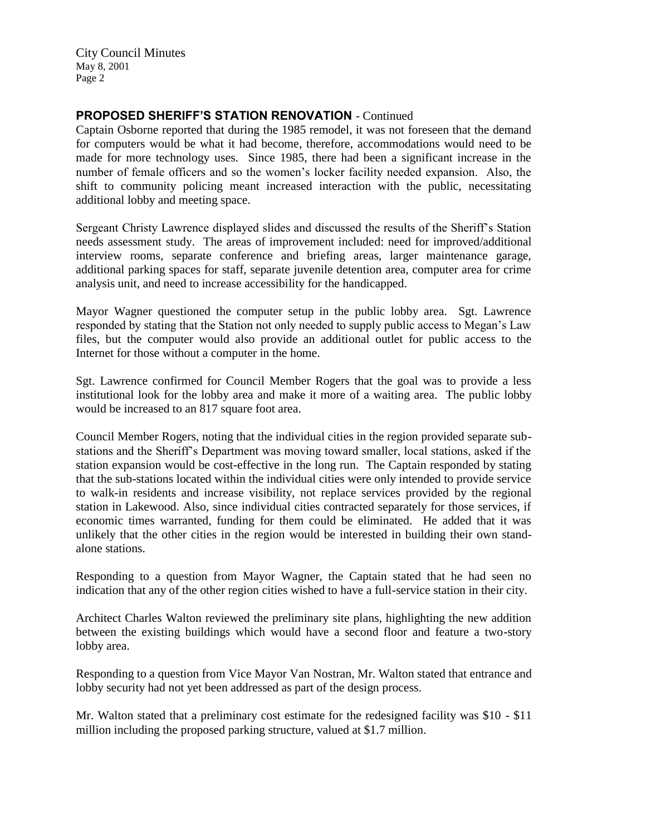City Council Minutes May 8, 2001 Page 2

## **PROPOSED SHERIFF'S STATION RENOVATION** - Continued

Captain Osborne reported that during the 1985 remodel, it was not foreseen that the demand for computers would be what it had become, therefore, accommodations would need to be made for more technology uses. Since 1985, there had been a significant increase in the number of female officers and so the women's locker facility needed expansion. Also, the shift to community policing meant increased interaction with the public, necessitating additional lobby and meeting space.

Sergeant Christy Lawrence displayed slides and discussed the results of the Sheriff's Station needs assessment study. The areas of improvement included: need for improved/additional interview rooms, separate conference and briefing areas, larger maintenance garage, additional parking spaces for staff, separate juvenile detention area, computer area for crime analysis unit, and need to increase accessibility for the handicapped.

Mayor Wagner questioned the computer setup in the public lobby area. Sgt. Lawrence responded by stating that the Station not only needed to supply public access to Megan's Law files, but the computer would also provide an additional outlet for public access to the Internet for those without a computer in the home.

Sgt. Lawrence confirmed for Council Member Rogers that the goal was to provide a less institutional look for the lobby area and make it more of a waiting area. The public lobby would be increased to an 817 square foot area.

Council Member Rogers, noting that the individual cities in the region provided separate substations and the Sheriff's Department was moving toward smaller, local stations, asked if the station expansion would be cost-effective in the long run. The Captain responded by stating that the sub-stations located within the individual cities were only intended to provide service to walk-in residents and increase visibility, not replace services provided by the regional station in Lakewood. Also, since individual cities contracted separately for those services, if economic times warranted, funding for them could be eliminated. He added that it was unlikely that the other cities in the region would be interested in building their own standalone stations.

Responding to a question from Mayor Wagner, the Captain stated that he had seen no indication that any of the other region cities wished to have a full-service station in their city.

Architect Charles Walton reviewed the preliminary site plans, highlighting the new addition between the existing buildings which would have a second floor and feature a two-story lobby area.

Responding to a question from Vice Mayor Van Nostran, Mr. Walton stated that entrance and lobby security had not yet been addressed as part of the design process.

Mr. Walton stated that a preliminary cost estimate for the redesigned facility was \$10 - \$11 million including the proposed parking structure, valued at \$1.7 million.